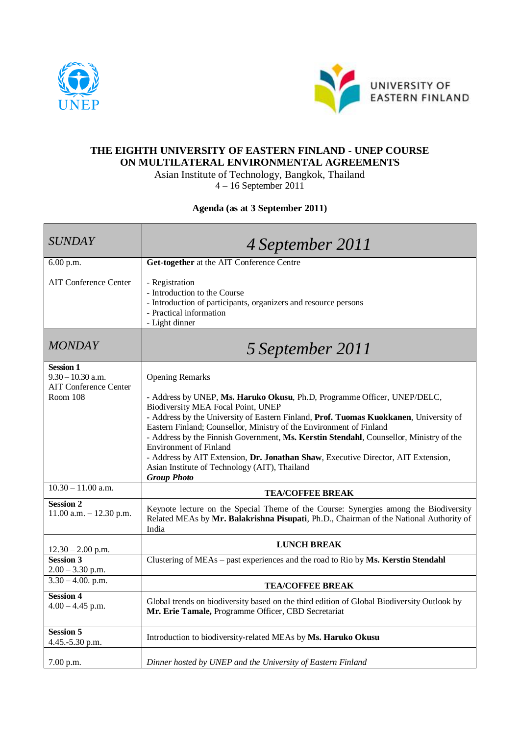



## **THE EIGHTH UNIVERSITY OF EASTERN FINLAND - UNEP COURSE ON MULTILATERAL ENVIRONMENTAL AGREEMENTS**

Asian Institute of Technology, Bangkok, Thailand

4 – 16 September 2011

## **Agenda (as at 3 September 2011)**

| <b>SUNDAY</b>                                                                              | 4 September 2011                                                                                                                                                                                                                                                                                                                                                                                                                                                                                                                                                                                |
|--------------------------------------------------------------------------------------------|-------------------------------------------------------------------------------------------------------------------------------------------------------------------------------------------------------------------------------------------------------------------------------------------------------------------------------------------------------------------------------------------------------------------------------------------------------------------------------------------------------------------------------------------------------------------------------------------------|
| 6.00 p.m.                                                                                  | Get-together at the AIT Conference Centre                                                                                                                                                                                                                                                                                                                                                                                                                                                                                                                                                       |
| <b>AIT Conference Center</b>                                                               | - Registration<br>- Introduction to the Course<br>- Introduction of participants, organizers and resource persons<br>- Practical information<br>- Light dinner                                                                                                                                                                                                                                                                                                                                                                                                                                  |
| <b>MONDAY</b>                                                                              | 5 September 2011                                                                                                                                                                                                                                                                                                                                                                                                                                                                                                                                                                                |
| <b>Session 1</b><br>$9.30 - 10.30$ a.m.<br><b>AIT Conference Center</b><br><b>Room 108</b> | <b>Opening Remarks</b><br>- Address by UNEP, Ms. Haruko Okusu, Ph.D, Programme Officer, UNEP/DELC,<br>Biodiversity MEA Focal Point, UNEP<br>- Address by the University of Eastern Finland, Prof. Tuomas Kuokkanen, University of<br>Eastern Finland; Counsellor, Ministry of the Environment of Finland<br>- Address by the Finnish Government, Ms. Kerstin Stendahl, Counsellor, Ministry of the<br><b>Environment of Finland</b><br>- Address by AIT Extension, Dr. Jonathan Shaw, Executive Director, AIT Extension,<br>Asian Institute of Technology (AIT), Thailand<br><b>Group Photo</b> |
| $10.30 - 11.00$ a.m.                                                                       | <b>TEA/COFFEE BREAK</b>                                                                                                                                                                                                                                                                                                                                                                                                                                                                                                                                                                         |
| <b>Session 2</b><br>$11.00$ a.m. $- 12.30$ p.m.                                            | Keynote lecture on the Special Theme of the Course: Synergies among the Biodiversity<br>Related MEAs by Mr. Balakrishna Pisupati, Ph.D., Chairman of the National Authority of<br>India                                                                                                                                                                                                                                                                                                                                                                                                         |
| $12.30 - 2.00$ p.m.                                                                        | <b>LUNCH BREAK</b>                                                                                                                                                                                                                                                                                                                                                                                                                                                                                                                                                                              |
| <b>Session 3</b><br>$2.00 - 3.30$ p.m.                                                     | Clustering of MEAs - past experiences and the road to Rio by Ms. Kerstin Stendahl                                                                                                                                                                                                                                                                                                                                                                                                                                                                                                               |
| $3.30 - 4.00$ . p.m.                                                                       | <b>TEA/COFFEE BREAK</b>                                                                                                                                                                                                                                                                                                                                                                                                                                                                                                                                                                         |
| <b>Session 4</b><br>$4.00 - 4.45$ p.m.                                                     | Global trends on biodiversity based on the third edition of Global Biodiversity Outlook by<br>Mr. Erie Tamale, Programme Officer, CBD Secretariat                                                                                                                                                                                                                                                                                                                                                                                                                                               |
| <b>Session 5</b><br>4.45.-5.30 p.m.                                                        | Introduction to biodiversity-related MEAs by Ms. Haruko Okusu                                                                                                                                                                                                                                                                                                                                                                                                                                                                                                                                   |
| 7.00 p.m.                                                                                  | Dinner hosted by UNEP and the University of Eastern Finland                                                                                                                                                                                                                                                                                                                                                                                                                                                                                                                                     |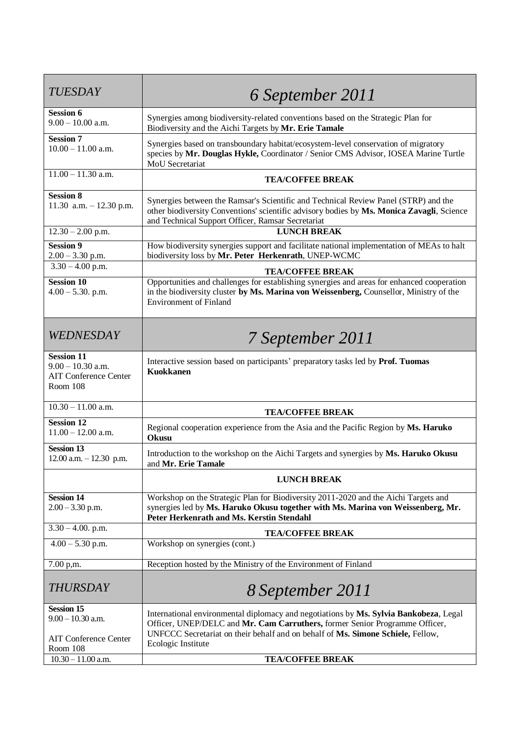| <b>TUESDAY</b>                                                                       | 6 September 2011                                                                                                                                                                                                                      |
|--------------------------------------------------------------------------------------|---------------------------------------------------------------------------------------------------------------------------------------------------------------------------------------------------------------------------------------|
| <b>Session 6</b><br>$9.00 - 10.00$ a.m.                                              | Synergies among biodiversity-related conventions based on the Strategic Plan for<br>Biodiversity and the Aichi Targets by Mr. Erie Tamale                                                                                             |
| <b>Session 7</b><br>$10.00 - 11.00$ a.m.                                             | Synergies based on transboundary habitat/ecosystem-level conservation of migratory<br>species by Mr. Douglas Hykle, Coordinator / Senior CMS Advisor, IOSEA Marine Turtle<br>MoU Secretariat                                          |
| $11.00 - 11.30$ a.m.                                                                 | <b>TEA/COFFEE BREAK</b>                                                                                                                                                                                                               |
| <b>Session 8</b><br>11.30 a.m. $-12.30$ p.m.                                         | Synergies between the Ramsar's Scientific and Technical Review Panel (STRP) and the<br>other biodiversity Conventions' scientific advisory bodies by Ms. Monica Zavagli, Science<br>and Technical Support Officer, Ramsar Secretariat |
| $12.30 - 2.00$ p.m.                                                                  | <b>LUNCH BREAK</b>                                                                                                                                                                                                                    |
| <b>Session 9</b><br>$2.00 - 3.30$ p.m.                                               | How biodiversity synergies support and facilitate national implementation of MEAs to halt<br>biodiversity loss by Mr. Peter Herkenrath, UNEP-WCMC                                                                                     |
| $3.30 - 4.00$ p.m.                                                                   | <b>TEA/COFFEE BREAK</b>                                                                                                                                                                                                               |
| <b>Session 10</b><br>$4.00 - 5.30$ . p.m.                                            | Opportunities and challenges for establishing synergies and areas for enhanced cooperation<br>in the biodiversity cluster by Ms. Marina von Weissenberg, Counsellor, Ministry of the<br><b>Environment of Finland</b>                 |
| WEDNESDAY                                                                            | 7 September 2011                                                                                                                                                                                                                      |
| <b>Session 11</b><br>$9.00 - 10.30$ a.m.<br><b>AIT Conference Center</b><br>Room 108 | Interactive session based on participants' preparatory tasks led by Prof. Tuomas<br><b>Kuokkanen</b>                                                                                                                                  |
| $10.30 - 11.00$ a.m.                                                                 | <b>TEA/COFFEE BREAK</b>                                                                                                                                                                                                               |
| <b>Session 12</b><br>$11.00 - 12.00$ a.m.                                            | Regional cooperation experience from the Asia and the Pacific Region by Ms. Haruko<br>Okusu                                                                                                                                           |
| Session 13<br>$12.00$ a.m. $-12.30$ p.m.                                             | Introduction to the workshop on the Aichi Targets and synergies by Ms. Haruko Okusu<br>and Mr. Erie Tamale                                                                                                                            |
|                                                                                      | <b>LUNCH BREAK</b>                                                                                                                                                                                                                    |
| <b>Session 14</b><br>$2.00 - 3.30$ p.m.                                              | Workshop on the Strategic Plan for Biodiversity 2011-2020 and the Aichi Targets and<br>synergies led by Ms. Haruko Okusu together with Ms. Marina von Weissenberg, Mr.<br><b>Peter Herkenrath and Ms. Kerstin Stendahl</b>            |
| $3.30 - 4.00$ . p.m.                                                                 | <b>TEA/COFFEE BREAK</b>                                                                                                                                                                                                               |
| $4.00 - 5.30$ p.m.                                                                   | Workshop on synergies (cont.)                                                                                                                                                                                                         |
| 7.00 p.m.                                                                            | Reception hosted by the Ministry of the Environment of Finland                                                                                                                                                                        |
| <b>THURSDAY</b>                                                                      | 8 September 2011                                                                                                                                                                                                                      |
| <b>Session 15</b>                                                                    | International environmental diplomacy and negotiations by Ms. Sylvia Bankobeza, Legal                                                                                                                                                 |
| $9.00 - 10.30$ a.m.<br><b>AIT Conference Center</b><br>Room 108                      | Officer, UNEP/DELC and Mr. Cam Carruthers, former Senior Programme Officer,<br>UNFCCC Secretariat on their behalf and on behalf of Ms. Simone Schiele, Fellow,<br>Ecologic Institute                                                  |
| $10.30 - 11.00$ a.m.                                                                 | <b>TEA/COFFEE BREAK</b>                                                                                                                                                                                                               |
|                                                                                      |                                                                                                                                                                                                                                       |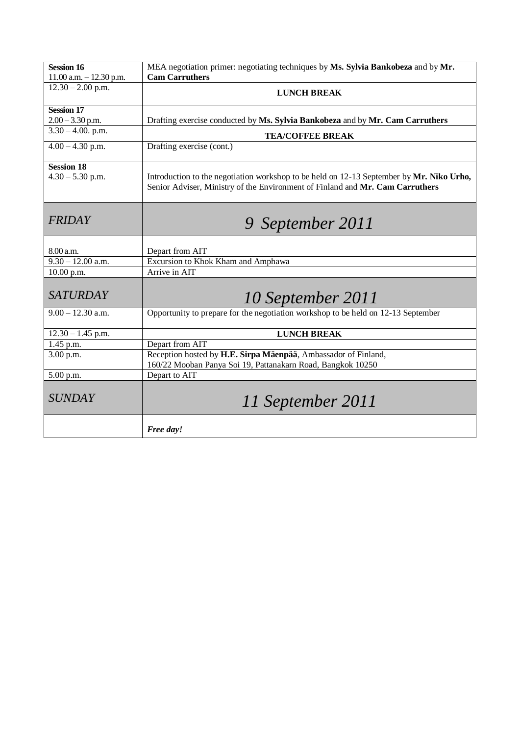| <b>Session 16</b>                | MEA negotiation primer: negotiating techniques by Ms. Sylvia Bankobeza and by Mr.                                                                                         |
|----------------------------------|---------------------------------------------------------------------------------------------------------------------------------------------------------------------------|
| $11.00$ a.m. $-12.30$ p.m.       | <b>Cam Carruthers</b>                                                                                                                                                     |
| $12.30 - 2.00$ p.m.              | <b>LUNCH BREAK</b>                                                                                                                                                        |
| <b>Session 17</b>                |                                                                                                                                                                           |
| $2.00 - 3.30$ p.m.               | Drafting exercise conducted by Ms. Sylvia Bankobeza and by Mr. Cam Carruthers                                                                                             |
| $3.30 - 4.00$ . p.m.             | <b>TEA/COFFEE BREAK</b>                                                                                                                                                   |
| $4.00 - 4.30$ p.m.               | Drafting exercise (cont.)                                                                                                                                                 |
| <b>Session 18</b>                |                                                                                                                                                                           |
| $4.30 - 5.30$ p.m.               | Introduction to the negotiation workshop to be held on 12-13 September by Mr. Niko Urho,<br>Senior Adviser, Ministry of the Environment of Finland and Mr. Cam Carruthers |
| <b>FRIDAY</b>                    | 9 September 2011                                                                                                                                                          |
|                                  |                                                                                                                                                                           |
| 8.00 a.m.<br>$9.30 - 12.00$ a.m. | Depart from AIT<br>Excursion to Khok Kham and Amphawa                                                                                                                     |
| 10.00 p.m.                       | Arrive in AIT                                                                                                                                                             |
|                                  |                                                                                                                                                                           |
| <b>SATURDAY</b>                  | 10 September 2011                                                                                                                                                         |
| $9.00 - 12.30$ a.m.              | Opportunity to prepare for the negotiation workshop to be held on 12-13 September                                                                                         |
| $12.30 - 1.45$ p.m.              | <b>LUNCH BREAK</b>                                                                                                                                                        |
| 1.45 p.m.                        | Depart from AIT                                                                                                                                                           |
| 3.00 p.m.                        | Reception hosted by H.E. Sirpa Mäenpää, Ambassador of Finland,<br>160/22 Mooban Panya Soi 19, Pattanakarn Road, Bangkok 10250                                             |
| 5.00 p.m.                        | Depart to AIT                                                                                                                                                             |
| <b>SUNDAY</b>                    | 11 September 2011                                                                                                                                                         |
|                                  | Free day!                                                                                                                                                                 |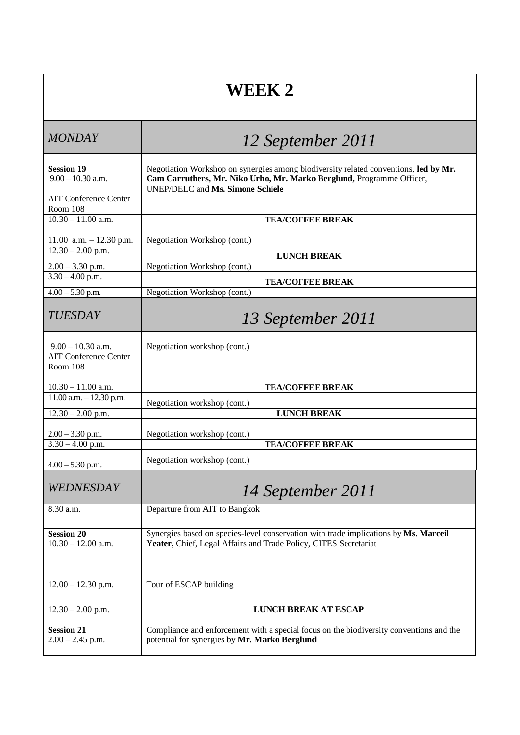## **WEEK 2**

| <b>MONDAY</b>                                                            | 12 September 2011                                                                                                                                                                                        |
|--------------------------------------------------------------------------|----------------------------------------------------------------------------------------------------------------------------------------------------------------------------------------------------------|
| <b>Session 19</b><br>$9.00 - 10.30$ a.m.<br><b>AIT Conference Center</b> | Negotiation Workshop on synergies among biodiversity related conventions, led by Mr.<br>Cam Carruthers, Mr. Niko Urho, Mr. Marko Berglund, Programme Officer,<br><b>UNEP/DELC</b> and Ms. Simone Schiele |
| Room 108                                                                 |                                                                                                                                                                                                          |
| $10.30 - 11.00$ a.m.                                                     | <b>TEA/COFFEE BREAK</b>                                                                                                                                                                                  |
| 11.00 a.m. $-$ 12.30 p.m.                                                | Negotiation Workshop (cont.)                                                                                                                                                                             |
| $12.30 - 2.00$ p.m.                                                      | <b>LUNCH BREAK</b>                                                                                                                                                                                       |
| $2.00 - 3.30$ p.m.<br>$3.30 - 4.00$ p.m.                                 | Negotiation Workshop (cont.)                                                                                                                                                                             |
| $4.00 - 5.30$ p.m.                                                       | <b>TEA/COFFEE BREAK</b><br>Negotiation Workshop (cont.)                                                                                                                                                  |
| <b>TUESDAY</b>                                                           | 13 September 2011                                                                                                                                                                                        |
| $9.00 - 10.30$ a.m.<br><b>AIT Conference Center</b><br>Room 108          | Negotiation workshop (cont.)                                                                                                                                                                             |
| $10.30 - 11.00$ a.m.                                                     | <b>TEA/COFFEE BREAK</b>                                                                                                                                                                                  |
| $11.00$ a.m. $- 12.30$ p.m.                                              | Negotiation workshop (cont.)                                                                                                                                                                             |
| $12.30 - 2.00$ p.m.                                                      | <b>LUNCH BREAK</b>                                                                                                                                                                                       |
| $2.00 - 3.30$ p.m.                                                       | Negotiation workshop (cont.)                                                                                                                                                                             |
| $3.30 - 4.00$ p.m.                                                       | <b>TEA/COFFEE BREAK</b>                                                                                                                                                                                  |
| $4.00 - 5.30$ p.m.                                                       | Negotiation workshop (cont.)                                                                                                                                                                             |
| <i>WEDNESDAY</i>                                                         | 14 September 2011                                                                                                                                                                                        |
| 8.30 a.m.                                                                | Departure from AIT to Bangkok                                                                                                                                                                            |
| <b>Session 20</b><br>$10.30 - 12.00$ a.m.                                | Synergies based on species-level conservation with trade implications by Ms. Marceil<br>Yeater, Chief, Legal Affairs and Trade Policy, CITES Secretariat                                                 |
| $12.00 - 12.30$ p.m.                                                     | Tour of ESCAP building                                                                                                                                                                                   |
| $12.30 - 2.00$ p.m.                                                      | <b>LUNCH BREAK AT ESCAP</b>                                                                                                                                                                              |
| <b>Session 21</b><br>$2.00 - 2.45$ p.m.                                  | Compliance and enforcement with a special focus on the biodiversity conventions and the<br>potential for synergies by Mr. Marko Berglund                                                                 |